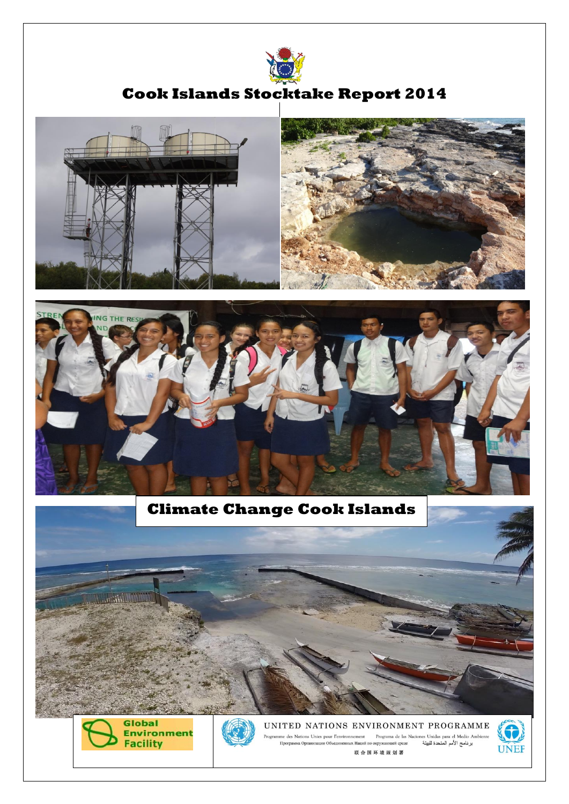

# **Cook Islands Stocktake Report 2014**





## **Climate Change Cook Islands**





UNITED NATIONS ENVIRONMENT PROGRAMME Programme des Nations Unies pour l'environnement — Programa de las Naciones Unidas para el Medio Ambiente<br>11 برنامج العكمة اللبيئة — Программа Организации Объединенных Наций по окружающей среде 联合国环境规划署

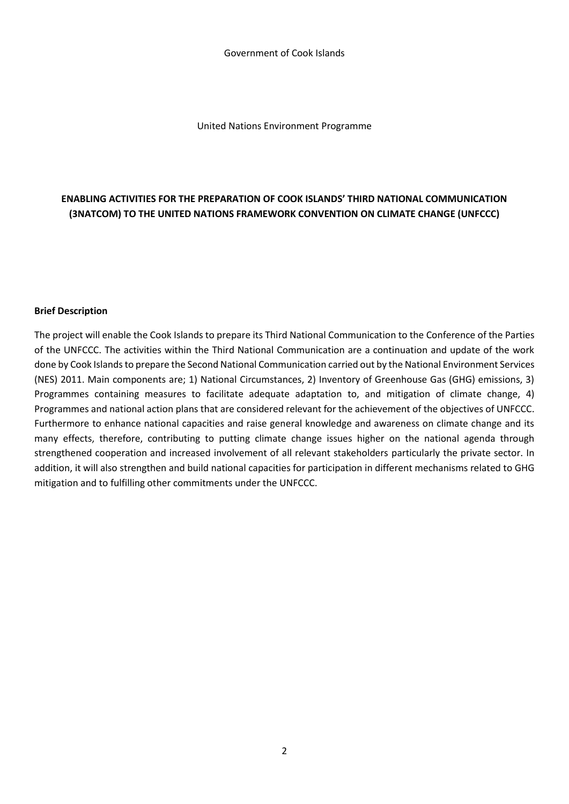United Nations Environment Programme

## **ENABLING ACTIVITIES FOR THE PREPARATION OF COOK ISLANDS' THIRD NATIONAL COMMUNICATION (3NATCOM) TO THE UNITED NATIONS FRAMEWORK CONVENTION ON CLIMATE CHANGE (UNFCCC)**

#### **Brief Description**

The project will enable the Cook Islands to prepare its Third National Communication to the Conference of the Parties of the UNFCCC. The activities within the Third National Communication are a continuation and update of the work done by Cook Islands to prepare the Second National Communication carried out by the National Environment Services (NES) 2011. Main components are; 1) National Circumstances, 2) Inventory of Greenhouse Gas (GHG) emissions, 3) Programmes containing measures to facilitate adequate adaptation to, and mitigation of climate change, 4) Programmes and national action plans that are considered relevant for the achievement of the objectives of UNFCCC. Furthermore to enhance national capacities and raise general knowledge and awareness on climate change and its many effects, therefore, contributing to putting climate change issues higher on the national agenda through strengthened cooperation and increased involvement of all relevant stakeholders particularly the private sector. In addition, it will also strengthen and build national capacities for participation in different mechanisms related to GHG mitigation and to fulfilling other commitments under the UNFCCC.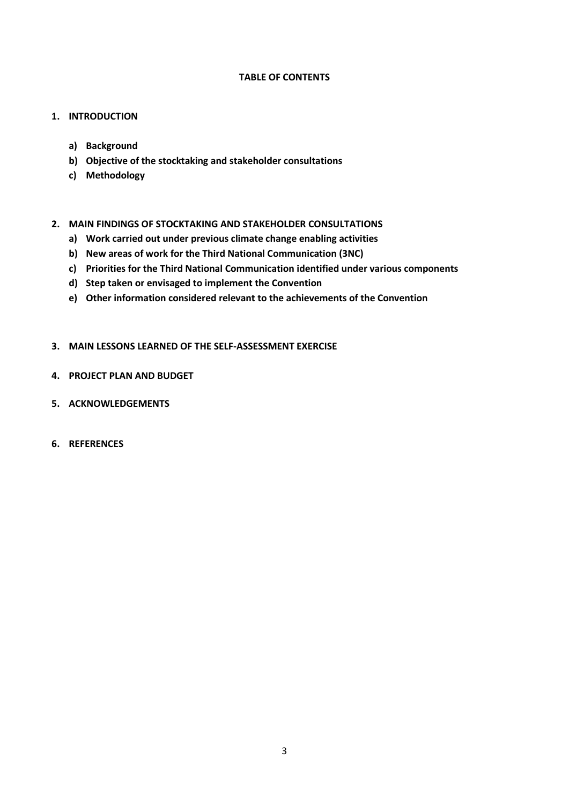#### **TABLE OF CONTENTS**

#### **1. INTRODUCTION**

- **a) Background**
- **b) Objective of the stocktaking and stakeholder consultations**
- **c) Methodology**
- **2. MAIN FINDINGS OF STOCKTAKING AND STAKEHOLDER CONSULTATIONS** 
	- **a) Work carried out under previous climate change enabling activities**
	- **b) New areas of work for the Third National Communication (3NC)**
	- **c) Priorities for the Third National Communication identified under various components**
	- **d) Step taken or envisaged to implement the Convention**
	- **e) Other information considered relevant to the achievements of the Convention**

#### **3. MAIN LESSONS LEARNED OF THE SELF-ASSESSMENT EXERCISE**

- **4. PROJECT PLAN AND BUDGET**
- **5. ACKNOWLEDGEMENTS**
- **6. REFERENCES**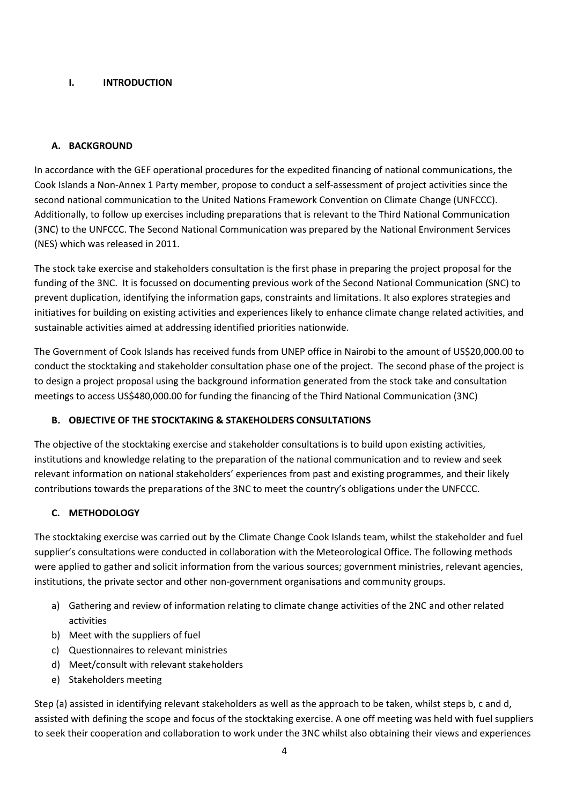## **I. INTRODUCTION**

#### **A. BACKGROUND**

In accordance with the GEF operational procedures for the expedited financing of national communications, the Cook Islands a Non-Annex 1 Party member, propose to conduct a self-assessment of project activities since the second national communication to the United Nations Framework Convention on Climate Change (UNFCCC). Additionally, to follow up exercises including preparations that is relevant to the Third National Communication (3NC) to the UNFCCC. The Second National Communication was prepared by the National Environment Services (NES) which was released in 2011.

The stock take exercise and stakeholders consultation is the first phase in preparing the project proposal for the funding of the 3NC. It is focussed on documenting previous work of the Second National Communication (SNC) to prevent duplication, identifying the information gaps, constraints and limitations. It also explores strategies and initiatives for building on existing activities and experiences likely to enhance climate change related activities, and sustainable activities aimed at addressing identified priorities nationwide.

The Government of Cook Islands has received funds from UNEP office in Nairobi to the amount of US\$20,000.00 to conduct the stocktaking and stakeholder consultation phase one of the project. The second phase of the project is to design a project proposal using the background information generated from the stock take and consultation meetings to access US\$480,000.00 for funding the financing of the Third National Communication (3NC)

## **B. OBJECTIVE OF THE STOCKTAKING & STAKEHOLDERS CONSULTATIONS**

The objective of the stocktaking exercise and stakeholder consultations is to build upon existing activities, institutions and knowledge relating to the preparation of the national communication and to review and seek relevant information on national stakeholders' experiences from past and existing programmes, and their likely contributions towards the preparations of the 3NC to meet the country's obligations under the UNFCCC.

## **C. METHODOLOGY**

The stocktaking exercise was carried out by the Climate Change Cook Islands team, whilst the stakeholder and fuel supplier's consultations were conducted in collaboration with the Meteorological Office. The following methods were applied to gather and solicit information from the various sources; government ministries, relevant agencies, institutions, the private sector and other non-government organisations and community groups.

- a) Gathering and review of information relating to climate change activities of the 2NC and other related activities
- b) Meet with the suppliers of fuel
- c) Questionnaires to relevant ministries
- d) Meet/consult with relevant stakeholders
- e) Stakeholders meeting

Step (a) assisted in identifying relevant stakeholders as well as the approach to be taken, whilst steps b, c and d, assisted with defining the scope and focus of the stocktaking exercise. A one off meeting was held with fuel suppliers to seek their cooperation and collaboration to work under the 3NC whilst also obtaining their views and experiences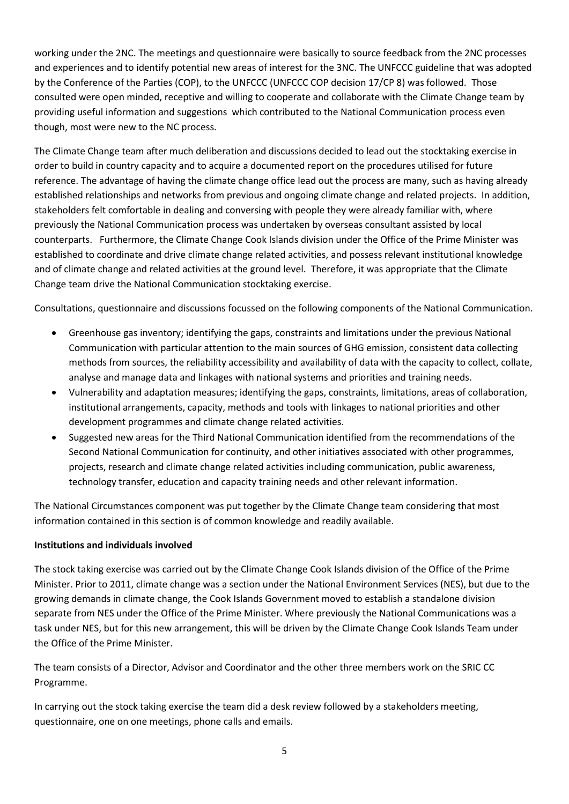working under the 2NC. The meetings and questionnaire were basically to source feedback from the 2NC processes and experiences and to identify potential new areas of interest for the 3NC. The UNFCCC guideline that was adopted by the Conference of the Parties (COP), to the UNFCCC (UNFCCC COP decision 17/CP 8) was followed. Those consulted were open minded, receptive and willing to cooperate and collaborate with the Climate Change team by providing useful information and suggestions which contributed to the National Communication process even though, most were new to the NC process.

The Climate Change team after much deliberation and discussions decided to lead out the stocktaking exercise in order to build in country capacity and to acquire a documented report on the procedures utilised for future reference. The advantage of having the climate change office lead out the process are many, such as having already established relationships and networks from previous and ongoing climate change and related projects. In addition, stakeholders felt comfortable in dealing and conversing with people they were already familiar with, where previously the National Communication process was undertaken by overseas consultant assisted by local counterparts. Furthermore, the Climate Change Cook Islands division under the Office of the Prime Minister was established to coordinate and drive climate change related activities, and possess relevant institutional knowledge and of climate change and related activities at the ground level. Therefore, it was appropriate that the Climate Change team drive the National Communication stocktaking exercise.

Consultations, questionnaire and discussions focussed on the following components of the National Communication.

- Greenhouse gas inventory; identifying the gaps, constraints and limitations under the previous National Communication with particular attention to the main sources of GHG emission, consistent data collecting methods from sources, the reliability accessibility and availability of data with the capacity to collect, collate, analyse and manage data and linkages with national systems and priorities and training needs.
- Vulnerability and adaptation measures; identifying the gaps, constraints, limitations, areas of collaboration, institutional arrangements, capacity, methods and tools with linkages to national priorities and other development programmes and climate change related activities.
- Suggested new areas for the Third National Communication identified from the recommendations of the Second National Communication for continuity, and other initiatives associated with other programmes, projects, research and climate change related activities including communication, public awareness, technology transfer, education and capacity training needs and other relevant information.

The National Circumstances component was put together by the Climate Change team considering that most information contained in this section is of common knowledge and readily available.

## **Institutions and individuals involved**

The stock taking exercise was carried out by the Climate Change Cook Islands division of the Office of the Prime Minister. Prior to 2011, climate change was a section under the National Environment Services (NES), but due to the growing demands in climate change, the Cook Islands Government moved to establish a standalone division separate from NES under the Office of the Prime Minister. Where previously the National Communications was a task under NES, but for this new arrangement, this will be driven by the Climate Change Cook Islands Team under the Office of the Prime Minister.

The team consists of a Director, Advisor and Coordinator and the other three members work on the SRIC CC Programme.

In carrying out the stock taking exercise the team did a desk review followed by a stakeholders meeting, questionnaire, one on one meetings, phone calls and emails.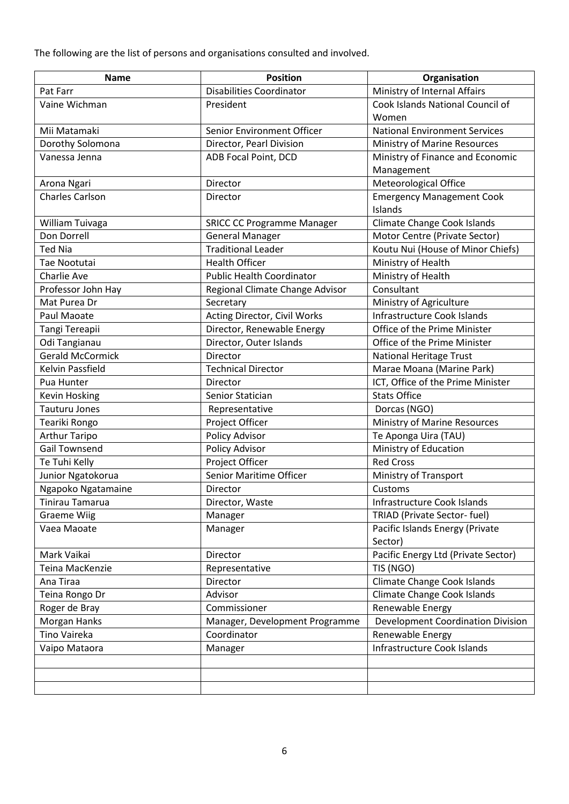The following are the list of persons and organisations consulted and involved.

| <b>Name</b>             | <b>Position</b>                   | Organisation                         |
|-------------------------|-----------------------------------|--------------------------------------|
| Pat Farr                | <b>Disabilities Coordinator</b>   | Ministry of Internal Affairs         |
| Vaine Wichman           | President                         | Cook Islands National Council of     |
|                         |                                   | Women                                |
| Mii Matamaki            | Senior Environment Officer        | <b>National Environment Services</b> |
| Dorothy Solomona        | Director, Pearl Division          | Ministry of Marine Resources         |
| Vanessa Jenna           | ADB Focal Point, DCD              | Ministry of Finance and Economic     |
|                         |                                   | Management                           |
| Arona Ngari             | Director                          | Meteorological Office                |
| <b>Charles Carlson</b>  | Director                          | <b>Emergency Management Cook</b>     |
|                         |                                   | Islands                              |
| William Tuivaga         | <b>SRICC CC Programme Manager</b> | <b>Climate Change Cook Islands</b>   |
| Don Dorrell             | <b>General Manager</b>            | Motor Centre (Private Sector)        |
| <b>Ted Nia</b>          | <b>Traditional Leader</b>         | Koutu Nui (House of Minor Chiefs)    |
| Tae Nootutai            | <b>Health Officer</b>             | Ministry of Health                   |
| Charlie Ave             | <b>Public Health Coordinator</b>  | Ministry of Health                   |
| Professor John Hay      | Regional Climate Change Advisor   | Consultant                           |
| Mat Purea Dr            | Secretary                         | Ministry of Agriculture              |
| Paul Maoate             | Acting Director, Civil Works      | <b>Infrastructure Cook Islands</b>   |
| Tangi Tereapii          | Director, Renewable Energy        | Office of the Prime Minister         |
| Odi Tangianau           | Director, Outer Islands           | Office of the Prime Minister         |
| <b>Gerald McCormick</b> | Director                          | <b>National Heritage Trust</b>       |
| Kelvin Passfield        | <b>Technical Director</b>         | Marae Moana (Marine Park)            |
| Pua Hunter              | Director                          | ICT, Office of the Prime Minister    |
| <b>Kevin Hosking</b>    | Senior Statician                  | <b>Stats Office</b>                  |
| <b>Tauturu Jones</b>    | Representative                    | Dorcas (NGO)                         |
| Teariki Rongo           | Project Officer                   | Ministry of Marine Resources         |
| <b>Arthur Taripo</b>    | Policy Advisor                    | Te Aponga Uira (TAU)                 |
| <b>Gail Townsend</b>    | Policy Advisor                    | Ministry of Education                |
| Te Tuhi Kelly           | Project Officer                   | <b>Red Cross</b>                     |
| Junior Ngatokorua       | Senior Maritime Officer           | <b>Ministry of Transport</b>         |
| Ngapoko Ngatamaine      | Director                          | Customs                              |
| Tinirau Tamarua         | Director, Waste                   | Infrastructure Cook Islands          |
| <b>Graeme Wiig</b>      | Manager                           | TRIAD (Private Sector- fuel)         |
| Vaea Maoate             | Manager                           | Pacific Islands Energy (Private      |
|                         |                                   | Sector)                              |
| Mark Vaikai             | Director                          | Pacific Energy Ltd (Private Sector)  |
| Teina MacKenzie         | Representative                    | TIS (NGO)                            |
| Ana Tiraa               | Director                          | Climate Change Cook Islands          |
| Teina Rongo Dr          | Advisor                           | Climate Change Cook Islands          |
| Roger de Bray           | Commissioner                      | Renewable Energy                     |
| Morgan Hanks            | Manager, Development Programme    | Development Coordination Division    |
| Tino Vaireka            | Coordinator                       | Renewable Energy                     |
| Vaipo Mataora           | Manager                           | <b>Infrastructure Cook Islands</b>   |
|                         |                                   |                                      |
|                         |                                   |                                      |
|                         |                                   |                                      |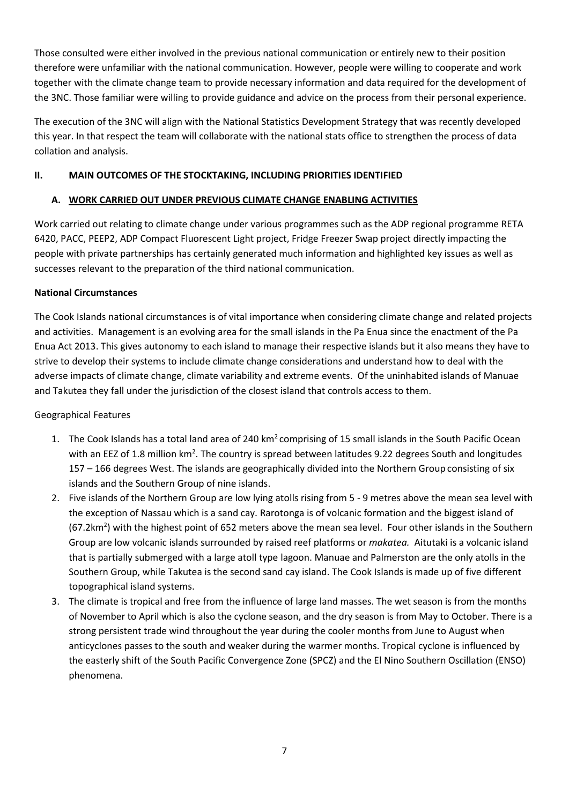Those consulted were either involved in the previous national communication or entirely new to their position therefore were unfamiliar with the national communication. However, people were willing to cooperate and work together with the climate change team to provide necessary information and data required for the development of the 3NC. Those familiar were willing to provide guidance and advice on the process from their personal experience.

The execution of the 3NC will align with the National Statistics Development Strategy that was recently developed this year. In that respect the team will collaborate with the national stats office to strengthen the process of data collation and analysis.

## **II. MAIN OUTCOMES OF THE STOCKTAKING, INCLUDING PRIORITIES IDENTIFIED**

## **A. WORK CARRIED OUT UNDER PREVIOUS CLIMATE CHANGE ENABLING ACTIVITIES**

Work carried out relating to climate change under various programmes such as the ADP regional programme RETA 6420, PACC, PEEP2, ADP Compact Fluorescent Light project, Fridge Freezer Swap project directly impacting the people with private partnerships has certainly generated much information and highlighted key issues as well as successes relevant to the preparation of the third national communication.

## **National Circumstances**

The Cook Islands national circumstances is of vital importance when considering climate change and related projects and activities. Management is an evolving area for the small islands in the Pa Enua since the enactment of the Pa Enua Act 2013. This gives autonomy to each island to manage their respective islands but it also means they have to strive to develop their systems to include climate change considerations and understand how to deal with the adverse impacts of climate change, climate variability and extreme events. Of the uninhabited islands of Manuae and Takutea they fall under the jurisdiction of the closest island that controls access to them.

## Geographical Features

- 1. The Cook Islands has a total land area of 240 km<sup>2</sup> comprising of 15 small islands in the South Pacific Ocean with an EEZ of 1.8 million km<sup>2</sup>. The country is spread between latitudes 9.22 degrees South and longitudes 157 – 166 degrees West. The islands are geographically divided into the Northern Group consisting of six islands and the Southern Group of nine islands.
- 2. Five islands of the Northern Group are low lying atolls rising from 5 9 metres above the mean sea level with the exception of Nassau which is a sand cay. Rarotonga is of volcanic formation and the biggest island of (67.2km<sup>2</sup>) with the highest point of 652 meters above the mean sea level. Four other islands in the Southern Group are low volcanic islands surrounded by raised reef platforms or *makatea.* Aitutaki is a volcanic island that is partially submerged with a large atoll type lagoon. Manuae and Palmerston are the only atolls in the Southern Group, while Takutea is the second sand cay island. The Cook Islands is made up of five different topographical island systems.
- 3. The climate is tropical and free from the influence of large land masses. The wet season is from the months of November to April which is also the cyclone season, and the dry season is from May to October. There is a strong persistent trade wind throughout the year during the cooler months from June to August when anticyclones passes to the south and weaker during the warmer months. Tropical cyclone is influenced by the easterly shift of the South Pacific Convergence Zone (SPCZ) and the El Nino Southern Oscillation (ENSO) phenomena.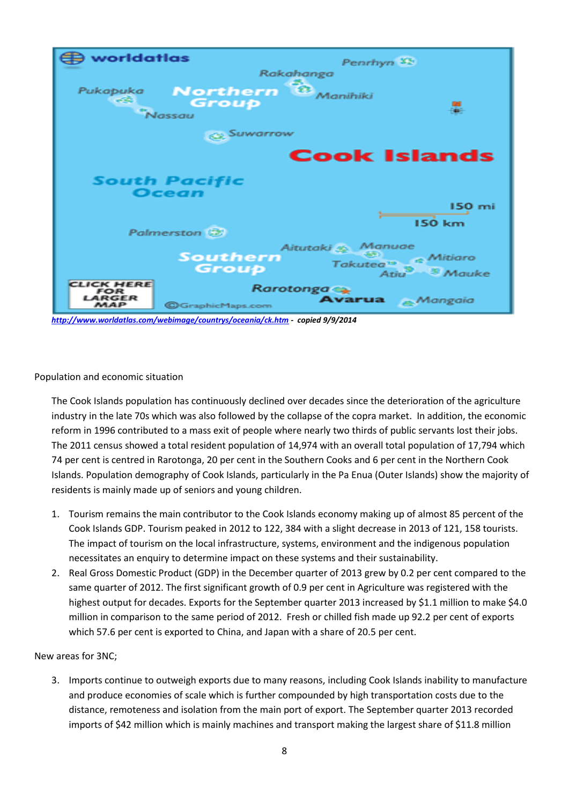

*[http://www.worldatlas.com/webimage/countrys/oceania/ck.htm -](http://www.worldatlas.com/webimage/countrys/oceania/ck.htm) copied 9/9/2014* 

Population and economic situation

The Cook Islands population has continuously declined over decades since the deterioration of the agriculture industry in the late 70s which was also followed by the collapse of the copra market. In addition, the economic reform in 1996 contributed to a mass exit of people where nearly two thirds of public servants lost their jobs. The 2011 census showed a total resident population of 14,974 with an overall total population of 17,794 which 74 per cent is centred in Rarotonga, 20 per cent in the Southern Cooks and 6 per cent in the Northern Cook Islands. Population demography of Cook Islands, particularly in the Pa Enua (Outer Islands) show the majority of residents is mainly made up of seniors and young children.

- 1. Tourism remains the main contributor to the Cook Islands economy making up of almost 85 percent of the Cook Islands GDP. Tourism peaked in 2012 to 122, 384 with a slight decrease in 2013 of 121, 158 tourists. The impact of tourism on the local infrastructure, systems, environment and the indigenous population necessitates an enquiry to determine impact on these systems and their sustainability.
- 2. Real Gross Domestic Product (GDP) in the December quarter of 2013 grew by 0.2 per cent compared to the same quarter of 2012. The first significant growth of 0.9 per cent in Agriculture was registered with the highest output for decades. Exports for the September quarter 2013 increased by \$1.1 million to make \$4.0 million in comparison to the same period of 2012. Fresh or chilled fish made up 92.2 per cent of exports which 57.6 per cent is exported to China, and Japan with a share of 20.5 per cent.

## New areas for 3NC;

3. Imports continue to outweigh exports due to many reasons, including Cook Islands inability to manufacture and produce economies of scale which is further compounded by high transportation costs due to the distance, remoteness and isolation from the main port of export. The September quarter 2013 recorded imports of \$42 million which is mainly machines and transport making the largest share of \$11.8 million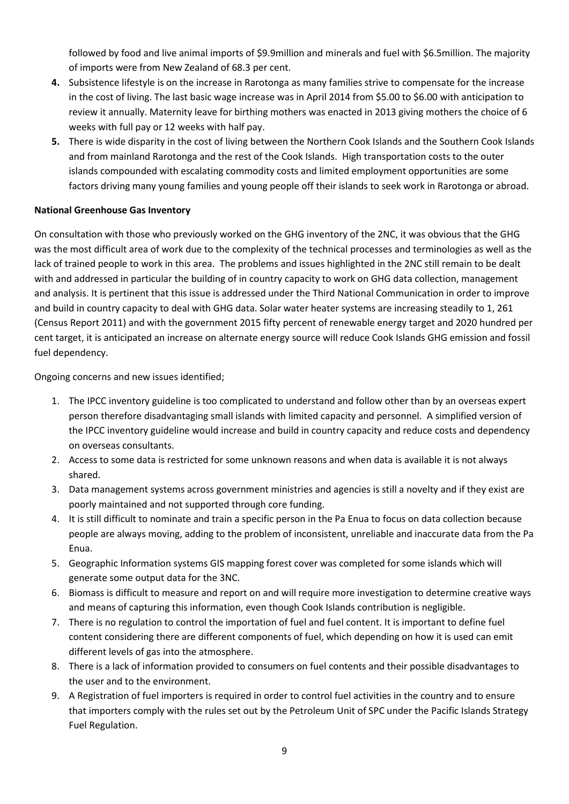followed by food and live animal imports of \$9.9million and minerals and fuel with \$6.5million. The majority of imports were from New Zealand of 68.3 per cent.

- **4.** Subsistence lifestyle is on the increase in Rarotonga as many families strive to compensate for the increase in the cost of living. The last basic wage increase was in April 2014 from \$5.00 to \$6.00 with anticipation to review it annually. Maternity leave for birthing mothers was enacted in 2013 giving mothers the choice of 6 weeks with full pay or 12 weeks with half pay.
- **5.** There is wide disparity in the cost of living between the Northern Cook Islands and the Southern Cook Islands and from mainland Rarotonga and the rest of the Cook Islands. High transportation costs to the outer islands compounded with escalating commodity costs and limited employment opportunities are some factors driving many young families and young people off their islands to seek work in Rarotonga or abroad.

## **National Greenhouse Gas Inventory**

On consultation with those who previously worked on the GHG inventory of the 2NC, it was obvious that the GHG was the most difficult area of work due to the complexity of the technical processes and terminologies as well as the lack of trained people to work in this area. The problems and issues highlighted in the 2NC still remain to be dealt with and addressed in particular the building of in country capacity to work on GHG data collection, management and analysis. It is pertinent that this issue is addressed under the Third National Communication in order to improve and build in country capacity to deal with GHG data. Solar water heater systems are increasing steadily to 1, 261 (Census Report 2011) and with the government 2015 fifty percent of renewable energy target and 2020 hundred per cent target, it is anticipated an increase on alternate energy source will reduce Cook Islands GHG emission and fossil fuel dependency.

Ongoing concerns and new issues identified;

- 1. The IPCC inventory guideline is too complicated to understand and follow other than by an overseas expert person therefore disadvantaging small islands with limited capacity and personnel. A simplified version of the IPCC inventory guideline would increase and build in country capacity and reduce costs and dependency on overseas consultants.
- 2. Access to some data is restricted for some unknown reasons and when data is available it is not always shared.
- 3. Data management systems across government ministries and agencies is still a novelty and if they exist are poorly maintained and not supported through core funding.
- 4. It is still difficult to nominate and train a specific person in the Pa Enua to focus on data collection because people are always moving, adding to the problem of inconsistent, unreliable and inaccurate data from the Pa Enua.
- 5. Geographic Information systems GIS mapping forest cover was completed for some islands which will generate some output data for the 3NC.
- 6. Biomass is difficult to measure and report on and will require more investigation to determine creative ways and means of capturing this information, even though Cook Islands contribution is negligible.
- 7. There is no regulation to control the importation of fuel and fuel content. It is important to define fuel content considering there are different components of fuel, which depending on how it is used can emit different levels of gas into the atmosphere.
- 8. There is a lack of information provided to consumers on fuel contents and their possible disadvantages to the user and to the environment.
- 9. A Registration of fuel importers is required in order to control fuel activities in the country and to ensure that importers comply with the rules set out by the Petroleum Unit of SPC under the Pacific Islands Strategy Fuel Regulation.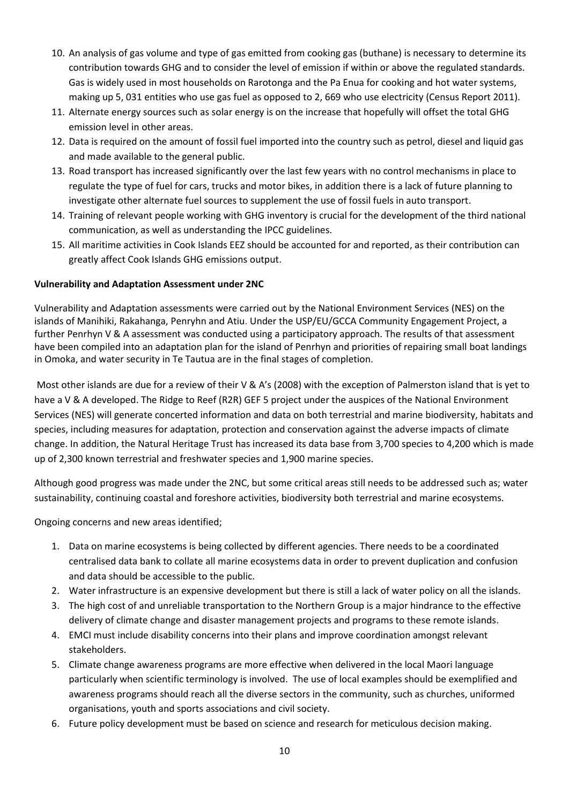- 10. An analysis of gas volume and type of gas emitted from cooking gas (buthane) is necessary to determine its contribution towards GHG and to consider the level of emission if within or above the regulated standards. Gas is widely used in most households on Rarotonga and the Pa Enua for cooking and hot water systems, making up 5, 031 entities who use gas fuel as opposed to 2, 669 who use electricity (Census Report 2011).
- 11. Alternate energy sources such as solar energy is on the increase that hopefully will offset the total GHG emission level in other areas.
- 12. Data is required on the amount of fossil fuel imported into the country such as petrol, diesel and liquid gas and made available to the general public.
- 13. Road transport has increased significantly over the last few years with no control mechanisms in place to regulate the type of fuel for cars, trucks and motor bikes, in addition there is a lack of future planning to investigate other alternate fuel sources to supplement the use of fossil fuels in auto transport.
- 14. Training of relevant people working with GHG inventory is crucial for the development of the third national communication, as well as understanding the IPCC guidelines.
- 15. All maritime activities in Cook Islands EEZ should be accounted for and reported, as their contribution can greatly affect Cook Islands GHG emissions output.

## **Vulnerability and Adaptation Assessment under 2NC**

Vulnerability and Adaptation assessments were carried out by the National Environment Services (NES) on the islands of Manihiki, Rakahanga, Penryhn and Atiu. Under the USP/EU/GCCA Community Engagement Project, a further Penrhyn V & A assessment was conducted using a participatory approach. The results of that assessment have been compiled into an adaptation plan for the island of Penrhyn and priorities of repairing small boat landings in Omoka, and water security in Te Tautua are in the final stages of completion.

Most other islands are due for a review of their V & A's (2008) with the exception of Palmerston island that is yet to have a V & A developed. The Ridge to Reef (R2R) GEF 5 project under the auspices of the National Environment Services (NES) will generate concerted information and data on both terrestrial and marine biodiversity, habitats and species, including measures for adaptation, protection and conservation against the adverse impacts of climate change. In addition, the Natural Heritage Trust has increased its data base from 3,700 species to 4,200 which is made up of 2,300 known terrestrial and freshwater species and 1,900 marine species.

Although good progress was made under the 2NC, but some critical areas still needs to be addressed such as; water sustainability, continuing coastal and foreshore activities, biodiversity both terrestrial and marine ecosystems.

Ongoing concerns and new areas identified;

- 1. Data on marine ecosystems is being collected by different agencies. There needs to be a coordinated centralised data bank to collate all marine ecosystems data in order to prevent duplication and confusion and data should be accessible to the public.
- 2. Water infrastructure is an expensive development but there is still a lack of water policy on all the islands.
- 3. The high cost of and unreliable transportation to the Northern Group is a major hindrance to the effective delivery of climate change and disaster management projects and programs to these remote islands.
- 4. EMCI must include disability concerns into their plans and improve coordination amongst relevant stakeholders.
- 5. Climate change awareness programs are more effective when delivered in the local Maori language particularly when scientific terminology is involved. The use of local examples should be exemplified and awareness programs should reach all the diverse sectors in the community, such as churches, uniformed organisations, youth and sports associations and civil society.
- 6. Future policy development must be based on science and research for meticulous decision making.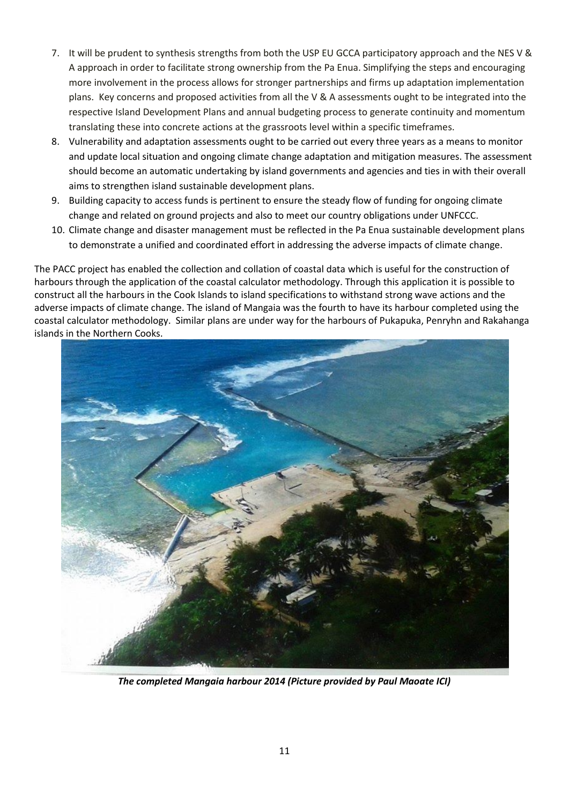- 7. It will be prudent to synthesis strengths from both the USP EU GCCA participatory approach and the NES V & A approach in order to facilitate strong ownership from the Pa Enua. Simplifying the steps and encouraging more involvement in the process allows for stronger partnerships and firms up adaptation implementation plans. Key concerns and proposed activities from all the V & A assessments ought to be integrated into the respective Island Development Plans and annual budgeting process to generate continuity and momentum translating these into concrete actions at the grassroots level within a specific timeframes.
- 8. Vulnerability and adaptation assessments ought to be carried out every three years as a means to monitor and update local situation and ongoing climate change adaptation and mitigation measures. The assessment should become an automatic undertaking by island governments and agencies and ties in with their overall aims to strengthen island sustainable development plans.
- 9. Building capacity to access funds is pertinent to ensure the steady flow of funding for ongoing climate change and related on ground projects and also to meet our country obligations under UNFCCC.
- 10. Climate change and disaster management must be reflected in the Pa Enua sustainable development plans to demonstrate a unified and coordinated effort in addressing the adverse impacts of climate change.

The PACC project has enabled the collection and collation of coastal data which is useful for the construction of harbours through the application of the coastal calculator methodology. Through this application it is possible to construct all the harbours in the Cook Islands to island specifications to withstand strong wave actions and the adverse impacts of climate change. The island of Mangaia was the fourth to have its harbour completed using the coastal calculator methodology. Similar plans are under way for the harbours of Pukapuka, Penryhn and Rakahanga islands in the Northern Cooks.



*The completed Mangaia harbour 2014 (Picture provided by Paul Maoate ICI)*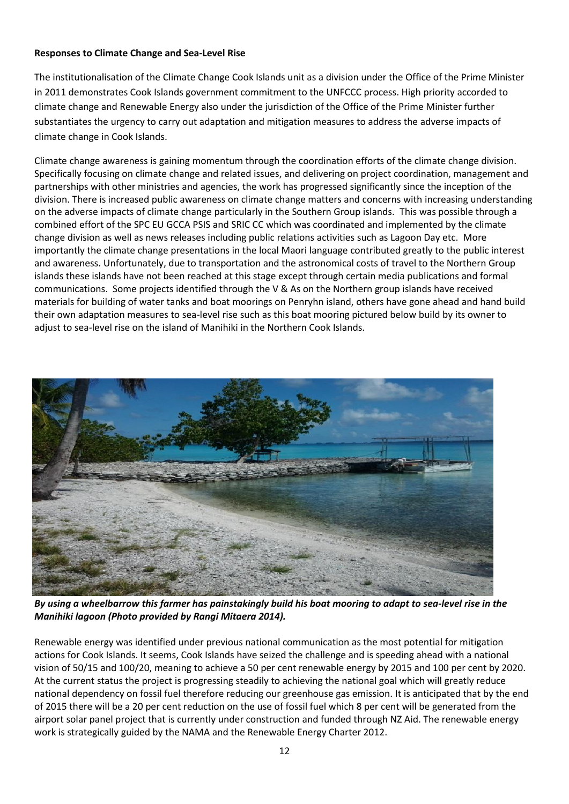## **Responses to Climate Change and Sea-Level Rise**

The institutionalisation of the Climate Change Cook Islands unit as a division under the Office of the Prime Minister in 2011 demonstrates Cook Islands government commitment to the UNFCCC process. High priority accorded to climate change and Renewable Energy also under the jurisdiction of the Office of the Prime Minister further substantiates the urgency to carry out adaptation and mitigation measures to address the adverse impacts of climate change in Cook Islands.

Climate change awareness is gaining momentum through the coordination efforts of the climate change division. Specifically focusing on climate change and related issues, and delivering on project coordination, management and partnerships with other ministries and agencies, the work has progressed significantly since the inception of the division. There is increased public awareness on climate change matters and concerns with increasing understanding on the adverse impacts of climate change particularly in the Southern Group islands. This was possible through a combined effort of the SPC EU GCCA PSIS and SRIC CC which was coordinated and implemented by the climate change division as well as news releases including public relations activities such as Lagoon Day etc. More importantly the climate change presentations in the local Maori language contributed greatly to the public interest and awareness. Unfortunately, due to transportation and the astronomical costs of travel to the Northern Group islands these islands have not been reached at this stage except through certain media publications and formal communications. Some projects identified through the V & As on the Northern group islands have received materials for building of water tanks and boat moorings on Penryhn island, others have gone ahead and hand build their own adaptation measures to sea-level rise such as this boat mooring pictured below build by its owner to adjust to sea-level rise on the island of Manihiki in the Northern Cook Islands.



*By using a wheelbarrow this farmer has painstakingly build his boat mooring to adapt to sea-level rise in the Manihiki lagoon (Photo provided by Rangi Mitaera 2014).* 

Renewable energy was identified under previous national communication as the most potential for mitigation actions for Cook Islands. It seems, Cook Islands have seized the challenge and is speeding ahead with a national vision of 50/15 and 100/20, meaning to achieve a 50 per cent renewable energy by 2015 and 100 per cent by 2020. At the current status the project is progressing steadily to achieving the national goal which will greatly reduce national dependency on fossil fuel therefore reducing our greenhouse gas emission. It is anticipated that by the end of 2015 there will be a 20 per cent reduction on the use of fossil fuel which 8 per cent will be generated from the airport solar panel project that is currently under construction and funded through NZ Aid. The renewable energy work is strategically guided by the NAMA and the Renewable Energy Charter 2012.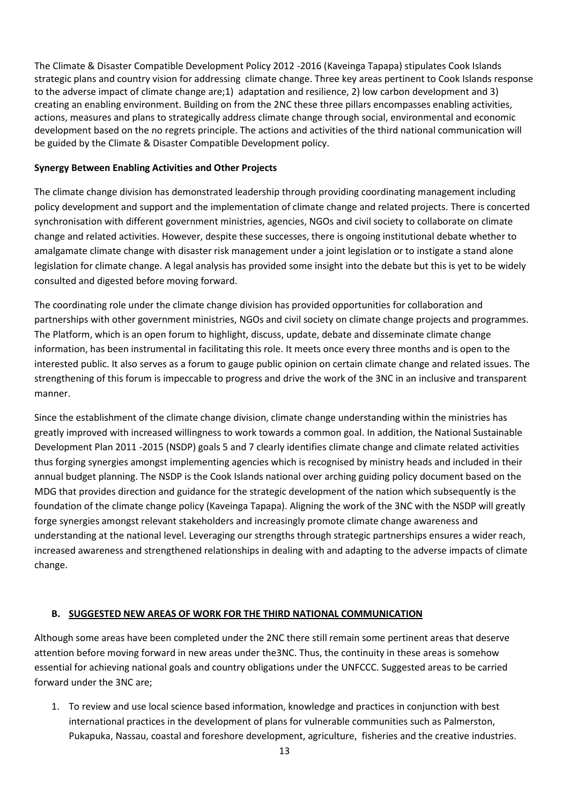The Climate & Disaster Compatible Development Policy 2012 -2016 (Kaveinga Tapapa) stipulates Cook Islands strategic plans and country vision for addressing climate change. Three key areas pertinent to Cook Islands response to the adverse impact of climate change are;1) adaptation and resilience, 2) low carbon development and 3) creating an enabling environment. Building on from the 2NC these three pillars encompasses enabling activities, actions, measures and plans to strategically address climate change through social, environmental and economic development based on the no regrets principle. The actions and activities of the third national communication will be guided by the Climate & Disaster Compatible Development policy.

#### **Synergy Between Enabling Activities and Other Projects**

The climate change division has demonstrated leadership through providing coordinating management including policy development and support and the implementation of climate change and related projects. There is concerted synchronisation with different government ministries, agencies, NGOs and civil society to collaborate on climate change and related activities. However, despite these successes, there is ongoing institutional debate whether to amalgamate climate change with disaster risk management under a joint legislation or to instigate a stand alone legislation for climate change. A legal analysis has provided some insight into the debate but this is yet to be widely consulted and digested before moving forward.

The coordinating role under the climate change division has provided opportunities for collaboration and partnerships with other government ministries, NGOs and civil society on climate change projects and programmes. The Platform, which is an open forum to highlight, discuss, update, debate and disseminate climate change information, has been instrumental in facilitating this role. It meets once every three months and is open to the interested public. It also serves as a forum to gauge public opinion on certain climate change and related issues. The strengthening of this forum is impeccable to progress and drive the work of the 3NC in an inclusive and transparent manner.

Since the establishment of the climate change division, climate change understanding within the ministries has greatly improved with increased willingness to work towards a common goal. In addition, the National Sustainable Development Plan 2011 -2015 (NSDP) goals 5 and 7 clearly identifies climate change and climate related activities thus forging synergies amongst implementing agencies which is recognised by ministry heads and included in their annual budget planning. The NSDP is the Cook Islands national over arching guiding policy document based on the MDG that provides direction and guidance for the strategic development of the nation which subsequently is the foundation of the climate change policy (Kaveinga Tapapa). Aligning the work of the 3NC with the NSDP will greatly forge synergies amongst relevant stakeholders and increasingly promote climate change awareness and understanding at the national level. Leveraging our strengths through strategic partnerships ensures a wider reach, increased awareness and strengthened relationships in dealing with and adapting to the adverse impacts of climate change.

## **B. SUGGESTED NEW AREAS OF WORK FOR THE THIRD NATIONAL COMMUNICATION**

Although some areas have been completed under the 2NC there still remain some pertinent areas that deserve attention before moving forward in new areas under the3NC. Thus, the continuity in these areas is somehow essential for achieving national goals and country obligations under the UNFCCC. Suggested areas to be carried forward under the 3NC are;

1. To review and use local science based information, knowledge and practices in conjunction with best international practices in the development of plans for vulnerable communities such as Palmerston, Pukapuka, Nassau, coastal and foreshore development, agriculture, fisheries and the creative industries.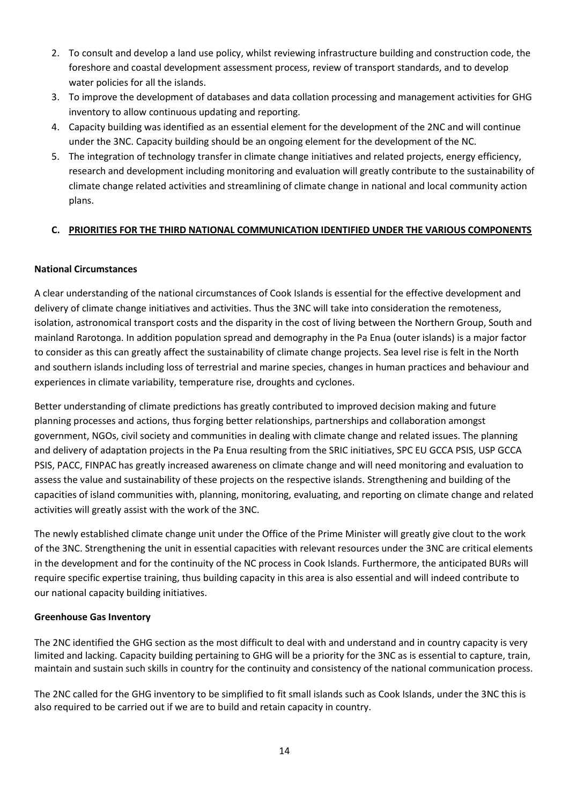- 2. To consult and develop a land use policy, whilst reviewing infrastructure building and construction code, the foreshore and coastal development assessment process, review of transport standards, and to develop water policies for all the islands.
- 3. To improve the development of databases and data collation processing and management activities for GHG inventory to allow continuous updating and reporting.
- 4. Capacity building was identified as an essential element for the development of the 2NC and will continue under the 3NC. Capacity building should be an ongoing element for the development of the NC.
- 5. The integration of technology transfer in climate change initiatives and related projects, energy efficiency, research and development including monitoring and evaluation will greatly contribute to the sustainability of climate change related activities and streamlining of climate change in national and local community action plans.

## **C. PRIORITIES FOR THE THIRD NATIONAL COMMUNICATION IDENTIFIED UNDER THE VARIOUS COMPONENTS**

## **National Circumstances**

A clear understanding of the national circumstances of Cook Islands is essential for the effective development and delivery of climate change initiatives and activities. Thus the 3NC will take into consideration the remoteness, isolation, astronomical transport costs and the disparity in the cost of living between the Northern Group, South and mainland Rarotonga. In addition population spread and demography in the Pa Enua (outer islands) is a major factor to consider as this can greatly affect the sustainability of climate change projects. Sea level rise is felt in the North and southern islands including loss of terrestrial and marine species, changes in human practices and behaviour and experiences in climate variability, temperature rise, droughts and cyclones.

Better understanding of climate predictions has greatly contributed to improved decision making and future planning processes and actions, thus forging better relationships, partnerships and collaboration amongst government, NGOs, civil society and communities in dealing with climate change and related issues. The planning and delivery of adaptation projects in the Pa Enua resulting from the SRIC initiatives, SPC EU GCCA PSIS, USP GCCA PSIS, PACC, FINPAC has greatly increased awareness on climate change and will need monitoring and evaluation to assess the value and sustainability of these projects on the respective islands. Strengthening and building of the capacities of island communities with, planning, monitoring, evaluating, and reporting on climate change and related activities will greatly assist with the work of the 3NC.

The newly established climate change unit under the Office of the Prime Minister will greatly give clout to the work of the 3NC. Strengthening the unit in essential capacities with relevant resources under the 3NC are critical elements in the development and for the continuity of the NC process in Cook Islands. Furthermore, the anticipated BURs will require specific expertise training, thus building capacity in this area is also essential and will indeed contribute to our national capacity building initiatives.

## **Greenhouse Gas Inventory**

The 2NC identified the GHG section as the most difficult to deal with and understand and in country capacity is very limited and lacking. Capacity building pertaining to GHG will be a priority for the 3NC as is essential to capture, train, maintain and sustain such skills in country for the continuity and consistency of the national communication process.

The 2NC called for the GHG inventory to be simplified to fit small islands such as Cook Islands, under the 3NC this is also required to be carried out if we are to build and retain capacity in country.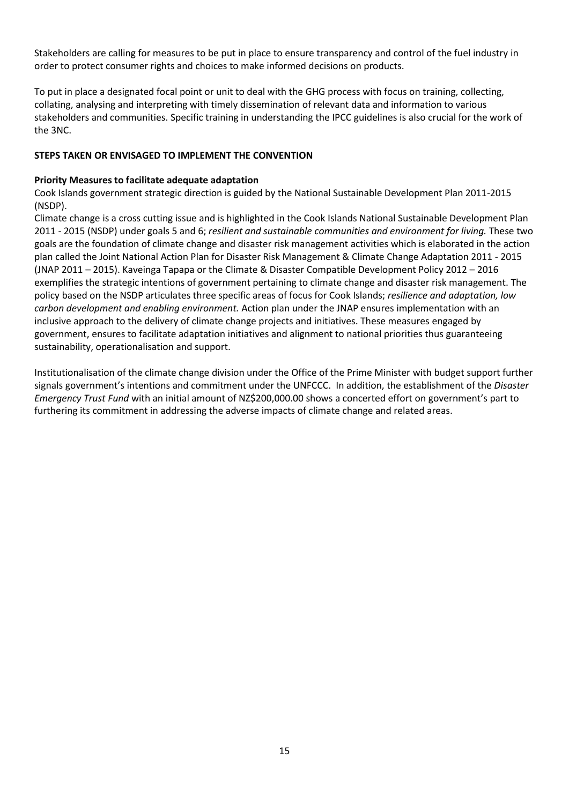Stakeholders are calling for measures to be put in place to ensure transparency and control of the fuel industry in order to protect consumer rights and choices to make informed decisions on products.

To put in place a designated focal point or unit to deal with the GHG process with focus on training, collecting, collating, analysing and interpreting with timely dissemination of relevant data and information to various stakeholders and communities. Specific training in understanding the IPCC guidelines is also crucial for the work of the 3NC.

#### **STEPS TAKEN OR ENVISAGED TO IMPLEMENT THE CONVENTION**

#### **Priority Measures to facilitate adequate adaptation**

Cook Islands government strategic direction is guided by the National Sustainable Development Plan 2011-2015 (NSDP).

Climate change is a cross cutting issue and is highlighted in the Cook Islands National Sustainable Development Plan 2011 - 2015 (NSDP) under goals 5 and 6; *resilient and sustainable communities and environment for living.* These two goals are the foundation of climate change and disaster risk management activities which is elaborated in the action plan called the Joint National Action Plan for Disaster Risk Management & Climate Change Adaptation 2011 - 2015 (JNAP 2011 – 2015). Kaveinga Tapapa or the Climate & Disaster Compatible Development Policy 2012 – 2016 exemplifies the strategic intentions of government pertaining to climate change and disaster risk management. The policy based on the NSDP articulates three specific areas of focus for Cook Islands; *resilience and adaptation, low carbon development and enabling environment.* Action plan under the JNAP ensures implementation with an inclusive approach to the delivery of climate change projects and initiatives. These measures engaged by government, ensures to facilitate adaptation initiatives and alignment to national priorities thus guaranteeing sustainability, operationalisation and support.

Institutionalisation of the climate change division under the Office of the Prime Minister with budget support further signals government's intentions and commitment under the UNFCCC. In addition, the establishment of the *Disaster Emergency Trust Fund* with an initial amount of NZ\$200,000.00 shows a concerted effort on government's part to furthering its commitment in addressing the adverse impacts of climate change and related areas.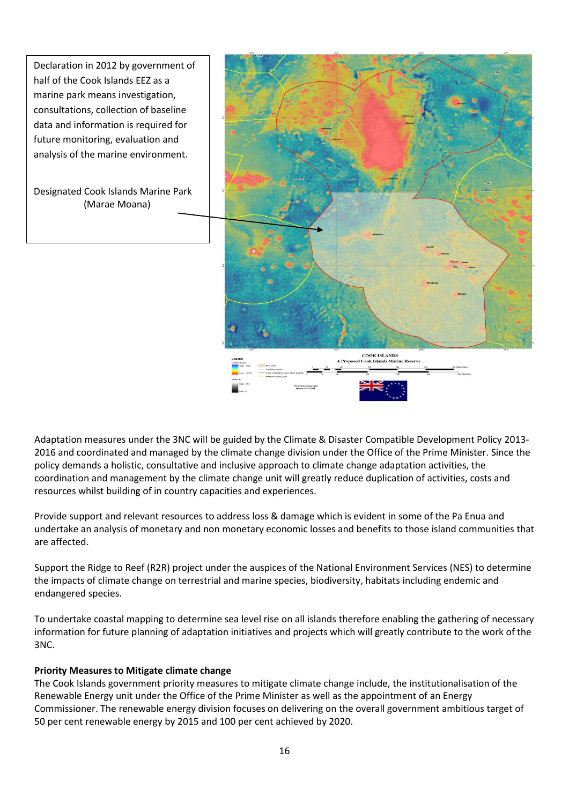Declaration in 2012 by government of half of the Cook Islands EEZ as a marine park means investigation, consultations, collection of baseline data and information is required for future monitoring, evaluation and analysis of the marine environment. Designated Cook Islands Marine Park (Marae Moana) **COOK ISLANDS** 

Adaptation measures under the 3NC will be guided by the Climate & Disaster Compatible Development Policy 2013- 2016 and coordinated and managed by the climate change division under the Office of the Prime Minister. Since the policy demands a holistic, consultative and inclusive approach to climate change adaptation activities, the coordination and management by the climate change unit will greatly reduce duplication of activities, costs and resources whilst building of in country capacities and experiences.

Provide support and relevant resources to address loss & damage which is evident in some of the Pa Enua and undertake an analysis of monetary and non monetary economic losses and benefits to those island communities that are affected.

Support the Ridge to Reef (R2R) project under the auspices of the National Environment Services (NES) to determine the impacts of climate change on terrestrial and marine species, biodiversity, habitats including endemic and endangered species.

To undertake coastal mapping to determine sea level rise on all islands therefore enabling the gathering of necessary information for future planning of adaptation initiatives and projects which will greatly contribute to the work of the 3NC.

## **Priority Measures to Mitigate climate change**

The Cook Islands government priority measures to mitigate climate change include, the institutionalisation of the Renewable Energy unit under the Office of the Prime Minister as well as the appointment of an Energy Commissioner. The renewable energy division focuses on delivering on the overall government ambitious target of 50 per cent renewable energy by 2015 and 100 per cent achieved by 2020.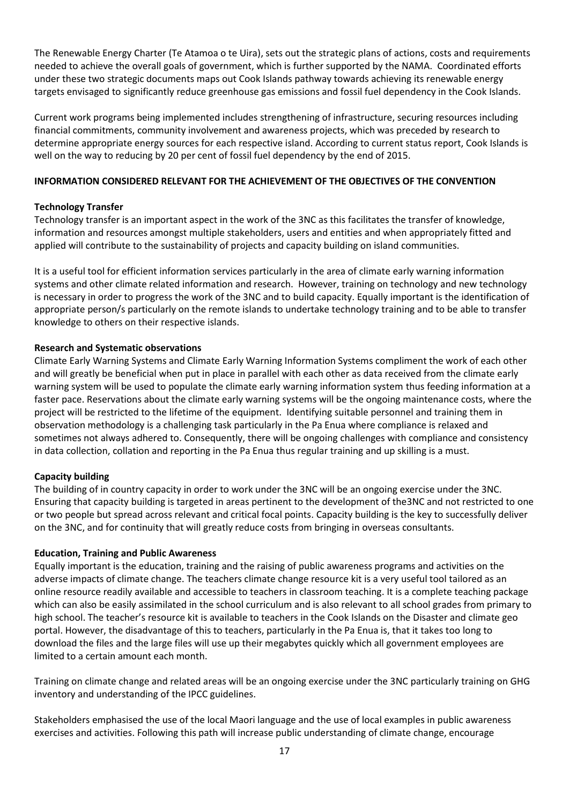The Renewable Energy Charter (Te Atamoa o te Uira), sets out the strategic plans of actions, costs and requirements needed to achieve the overall goals of government, which is further supported by the NAMA. Coordinated efforts under these two strategic documents maps out Cook Islands pathway towards achieving its renewable energy targets envisaged to significantly reduce greenhouse gas emissions and fossil fuel dependency in the Cook Islands.

Current work programs being implemented includes strengthening of infrastructure, securing resources including financial commitments, community involvement and awareness projects, which was preceded by research to determine appropriate energy sources for each respective island. According to current status report, Cook Islands is well on the way to reducing by 20 per cent of fossil fuel dependency by the end of 2015.

## **INFORMATION CONSIDERED RELEVANT FOR THE ACHIEVEMENT OF THE OBJECTIVES OF THE CONVENTION**

#### **Technology Transfer**

Technology transfer is an important aspect in the work of the 3NC as this facilitates the transfer of knowledge, information and resources amongst multiple stakeholders, users and entities and when appropriately fitted and applied will contribute to the sustainability of projects and capacity building on island communities.

It is a useful tool for efficient information services particularly in the area of climate early warning information systems and other climate related information and research. However, training on technology and new technology is necessary in order to progress the work of the 3NC and to build capacity. Equally important is the identification of appropriate person/s particularly on the remote islands to undertake technology training and to be able to transfer knowledge to others on their respective islands.

#### **Research and Systematic observations**

Climate Early Warning Systems and Climate Early Warning Information Systems compliment the work of each other and will greatly be beneficial when put in place in parallel with each other as data received from the climate early warning system will be used to populate the climate early warning information system thus feeding information at a faster pace. Reservations about the climate early warning systems will be the ongoing maintenance costs, where the project will be restricted to the lifetime of the equipment. Identifying suitable personnel and training them in observation methodology is a challenging task particularly in the Pa Enua where compliance is relaxed and sometimes not always adhered to. Consequently, there will be ongoing challenges with compliance and consistency in data collection, collation and reporting in the Pa Enua thus regular training and up skilling is a must.

## **Capacity building**

The building of in country capacity in order to work under the 3NC will be an ongoing exercise under the 3NC. Ensuring that capacity building is targeted in areas pertinent to the development of the3NC and not restricted to one or two people but spread across relevant and critical focal points. Capacity building is the key to successfully deliver on the 3NC, and for continuity that will greatly reduce costs from bringing in overseas consultants.

#### **Education, Training and Public Awareness**

Equally important is the education, training and the raising of public awareness programs and activities on the adverse impacts of climate change. The teachers climate change resource kit is a very useful tool tailored as an online resource readily available and accessible to teachers in classroom teaching. It is a complete teaching package which can also be easily assimilated in the school curriculum and is also relevant to all school grades from primary to high school. The teacher's resource kit is available to teachers in the Cook Islands on the Disaster and climate geo portal. However, the disadvantage of this to teachers, particularly in the Pa Enua is, that it takes too long to download the files and the large files will use up their megabytes quickly which all government employees are limited to a certain amount each month.

Training on climate change and related areas will be an ongoing exercise under the 3NC particularly training on GHG inventory and understanding of the IPCC guidelines.

Stakeholders emphasised the use of the local Maori language and the use of local examples in public awareness exercises and activities. Following this path will increase public understanding of climate change, encourage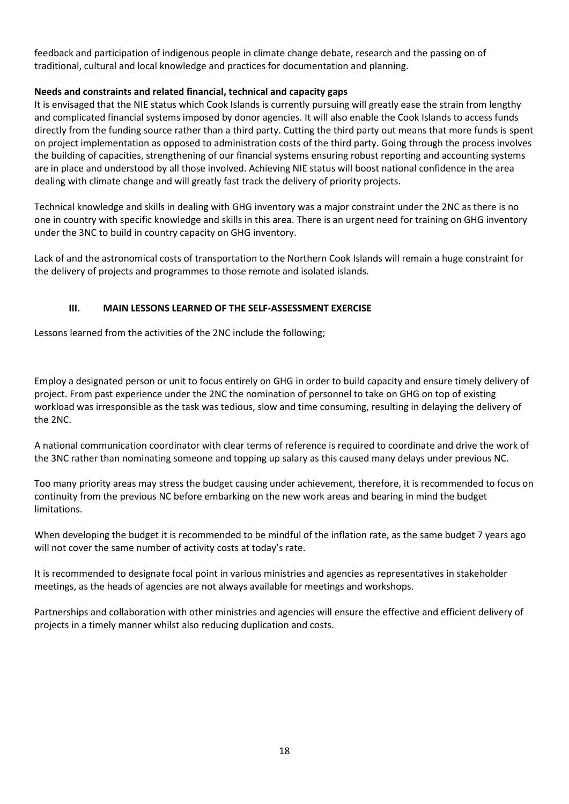feedback and participation of indigenous people in climate change debate, research and the passing on of traditional, cultural and local knowledge and practices for documentation and planning.

#### **Needs and constraints and related financial, technical and capacity gaps**

It is envisaged that the NIE status which Cook Islands is currently pursuing will greatly ease the strain from lengthy and complicated financial systems imposed by donor agencies. It will also enable the Cook Islands to access funds directly from the funding source rather than a third party. Cutting the third party out means that more funds is spent on project implementation as opposed to administration costs of the third party. Going through the process involves the building of capacities, strengthening of our financial systems ensuring robust reporting and accounting systems are in place and understood by all those involved. Achieving NIE status will boost national confidence in the area dealing with climate change and will greatly fast track the delivery of priority projects.

Technical knowledge and skills in dealing with GHG inventory was a major constraint under the 2NC as there is no one in country with specific knowledge and skills in this area. There is an urgent need for training on GHG inventory under the 3NC to build in country capacity on GHG inventory.

Lack of and the astronomical costs of transportation to the Northern Cook Islands will remain a huge constraint for the delivery of projects and programmes to those remote and isolated islands.

## **III. MAIN LESSONS LEARNED OF THE SELF-ASSESSMENT EXERCISE**

Lessons learned from the activities of the 2NC include the following;

Employ a designated person or unit to focus entirely on GHG in order to build capacity and ensure timely delivery of project. From past experience under the 2NC the nomination of personnel to take on GHG on top of existing workload was irresponsible as the task was tedious, slow and time consuming, resulting in delaying the delivery of the 2NC.

A national communication coordinator with clear terms of reference is required to coordinate and drive the work of the 3NC rather than nominating someone and topping up salary as this caused many delays under previous NC.

Too many priority areas may stress the budget causing under achievement, therefore, it is recommended to focus on continuity from the previous NC before embarking on the new work areas and bearing in mind the budget limitations.

When developing the budget it is recommended to be mindful of the inflation rate, as the same budget 7 years ago will not cover the same number of activity costs at today's rate.

It is recommended to designate focal point in various ministries and agencies as representatives in stakeholder meetings, as the heads of agencies are not always available for meetings and workshops.

Partnerships and collaboration with other ministries and agencies will ensure the effective and efficient delivery of projects in a timely manner whilst also reducing duplication and costs.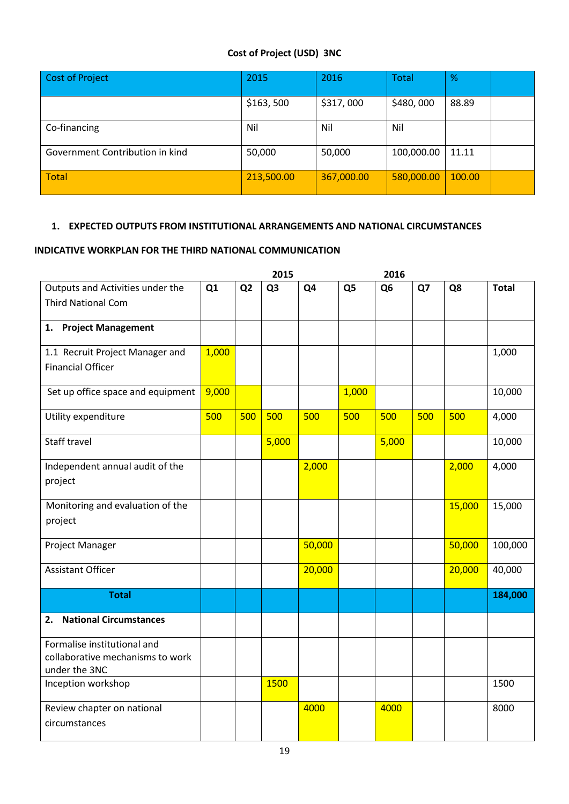## **Cost of Project (USD) 3NC**

| Cost of Project                 | 2015       | 2016       | <b>Total</b> | $\frac{9}{6}$ |  |
|---------------------------------|------------|------------|--------------|---------------|--|
|                                 | \$163,500  | \$317,000  | \$480,000    | 88.89         |  |
| Co-financing                    | Nil        | Nil        | Nil          |               |  |
| Government Contribution in kind | 50,000     | 50,000     | 100,000.00   | 11.11         |  |
| <b>Total</b>                    | 213,500.00 | 367,000.00 | 580,000.00   | 100.00        |  |

## **1. EXPECTED OUTPUTS FROM INSTITUTIONAL ARRANGEMENTS AND NATIONAL CIRCUMSTANCES**

## **INDICATIVE WORKPLAN FOR THE THIRD NATIONAL COMMUNICATION**

|                                                   |       |                | 2015           |        |                | 2016           |     |        |              |
|---------------------------------------------------|-------|----------------|----------------|--------|----------------|----------------|-----|--------|--------------|
| Outputs and Activities under the                  | Q1    | Q <sub>2</sub> | Q <sub>3</sub> | Q4     | Q <sub>5</sub> | Q <sub>6</sub> | Q7  | Q8     | <b>Total</b> |
| <b>Third National Com</b>                         |       |                |                |        |                |                |     |        |              |
| 1. Project Management                             |       |                |                |        |                |                |     |        |              |
| 1.1 Recruit Project Manager and                   | 1,000 |                |                |        |                |                |     |        | 1,000        |
| <b>Financial Officer</b>                          |       |                |                |        |                |                |     |        |              |
| Set up office space and equipment                 | 9,000 |                |                |        | 1,000          |                |     |        | 10,000       |
| Utility expenditure                               | 500   | 500            | 500            | 500    | 500            | 500            | 500 | 500    | 4,000        |
| Staff travel                                      |       |                | 5,000          |        |                | 5,000          |     |        | 10,000       |
| Independent annual audit of the                   |       |                |                | 2,000  |                |                |     | 2,000  | 4,000        |
| project                                           |       |                |                |        |                |                |     |        |              |
| Monitoring and evaluation of the                  |       |                |                |        |                |                |     | 15,000 | 15,000       |
| project                                           |       |                |                |        |                |                |     |        |              |
| Project Manager                                   |       |                |                | 50,000 |                |                |     | 50,000 | 100,000      |
| <b>Assistant Officer</b>                          |       |                |                | 20,000 |                |                |     | 20,000 | 40,000       |
| <b>Total</b>                                      |       |                |                |        |                |                |     |        | 184,000      |
| <b>National Circumstances</b><br>2.               |       |                |                |        |                |                |     |        |              |
| Formalise institutional and                       |       |                |                |        |                |                |     |        |              |
| collaborative mechanisms to work<br>under the 3NC |       |                |                |        |                |                |     |        |              |
| Inception workshop                                |       |                | 1500           |        |                |                |     |        | 1500         |
|                                                   |       |                |                |        |                |                |     |        |              |
| Review chapter on national<br>circumstances       |       |                |                | 4000   |                | 4000           |     |        | 8000         |
|                                                   |       |                |                |        |                |                |     |        |              |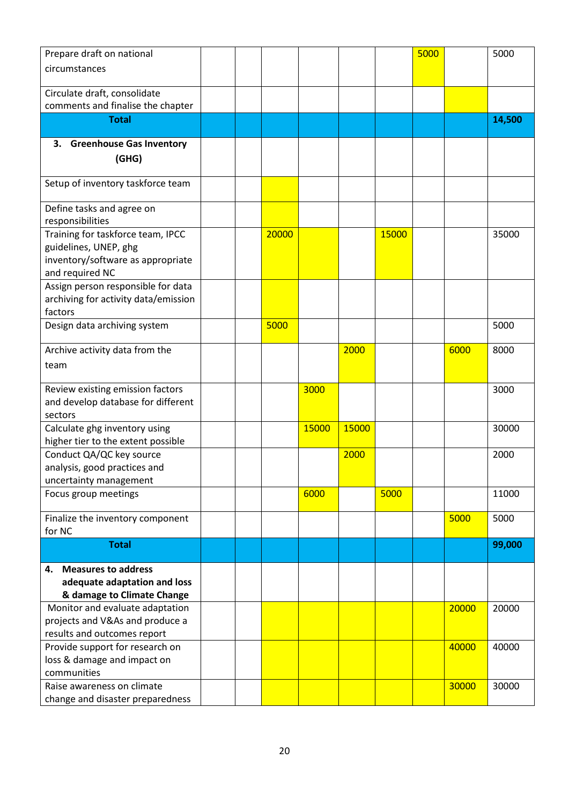| Prepare draft on national             |  |       |       |       |       | 5000 |       | 5000   |
|---------------------------------------|--|-------|-------|-------|-------|------|-------|--------|
| circumstances                         |  |       |       |       |       |      |       |        |
|                                       |  |       |       |       |       |      |       |        |
| Circulate draft, consolidate          |  |       |       |       |       |      |       |        |
| comments and finalise the chapter     |  |       |       |       |       |      |       |        |
| <b>Total</b>                          |  |       |       |       |       |      |       | 14,500 |
| <b>Greenhouse Gas Inventory</b><br>З. |  |       |       |       |       |      |       |        |
| (GHG)                                 |  |       |       |       |       |      |       |        |
|                                       |  |       |       |       |       |      |       |        |
| Setup of inventory taskforce team     |  |       |       |       |       |      |       |        |
| Define tasks and agree on             |  |       |       |       |       |      |       |        |
| responsibilities                      |  |       |       |       |       |      |       |        |
| Training for taskforce team, IPCC     |  | 20000 |       |       | 15000 |      |       | 35000  |
| guidelines, UNEP, ghg                 |  |       |       |       |       |      |       |        |
| inventory/software as appropriate     |  |       |       |       |       |      |       |        |
| and required NC                       |  |       |       |       |       |      |       |        |
| Assign person responsible for data    |  |       |       |       |       |      |       |        |
| archiving for activity data/emission  |  |       |       |       |       |      |       |        |
| factors                               |  |       |       |       |       |      |       |        |
| Design data archiving system          |  | 5000  |       |       |       |      |       | 5000   |
| Archive activity data from the        |  |       |       | 2000  |       |      | 6000  | 8000   |
| team                                  |  |       |       |       |       |      |       |        |
|                                       |  |       |       |       |       |      |       |        |
| Review existing emission factors      |  |       | 3000  |       |       |      |       | 3000   |
| and develop database for different    |  |       |       |       |       |      |       |        |
| sectors                               |  |       |       |       |       |      |       |        |
| Calculate ghg inventory using         |  |       | 15000 | 15000 |       |      |       | 30000  |
| higher tier to the extent possible    |  |       |       |       |       |      |       |        |
| Conduct QA/QC key source              |  |       |       | 2000  |       |      |       | 2000   |
| analysis, good practices and          |  |       |       |       |       |      |       |        |
| uncertainty management                |  |       |       |       |       |      |       |        |
| Focus group meetings                  |  |       | 6000  |       | 5000  |      |       | 11000  |
| Finalize the inventory component      |  |       |       |       |       |      | 5000  | 5000   |
| for NC                                |  |       |       |       |       |      |       |        |
| <b>Total</b>                          |  |       |       |       |       |      |       | 99,000 |
| <b>Measures to address</b><br>4.      |  |       |       |       |       |      |       |        |
| adequate adaptation and loss          |  |       |       |       |       |      |       |        |
| & damage to Climate Change            |  |       |       |       |       |      |       |        |
| Monitor and evaluate adaptation       |  |       |       |       |       |      | 20000 | 20000  |
| projects and V&As and produce a       |  |       |       |       |       |      |       |        |
| results and outcomes report           |  |       |       |       |       |      |       |        |
| Provide support for research on       |  |       |       |       |       |      | 40000 | 40000  |
| loss & damage and impact on           |  |       |       |       |       |      |       |        |
| communities                           |  |       |       |       |       |      |       |        |
| Raise awareness on climate            |  |       |       |       |       |      | 30000 | 30000  |
| change and disaster preparedness      |  |       |       |       |       |      |       |        |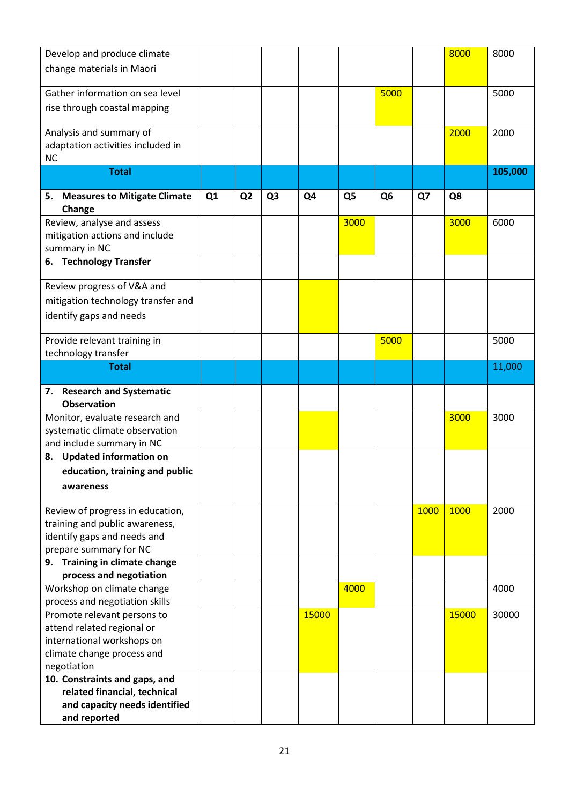| Develop and produce climate                                  |                |                |                |                |                |                |      | 8000  | 8000    |
|--------------------------------------------------------------|----------------|----------------|----------------|----------------|----------------|----------------|------|-------|---------|
| change materials in Maori                                    |                |                |                |                |                |                |      |       |         |
|                                                              |                |                |                |                |                |                |      |       |         |
| Gather information on sea level                              |                |                |                |                |                | 5000           |      |       | 5000    |
| rise through coastal mapping                                 |                |                |                |                |                |                |      |       |         |
| Analysis and summary of                                      |                |                |                |                |                |                |      | 2000  | 2000    |
| adaptation activities included in                            |                |                |                |                |                |                |      |       |         |
| NC                                                           |                |                |                |                |                |                |      |       |         |
| <b>Total</b>                                                 |                |                |                |                |                |                |      |       | 105,000 |
|                                                              |                |                |                |                |                |                |      |       |         |
| <b>Measures to Mitigate Climate</b><br>5.                    | Q <sub>1</sub> | Q <sub>2</sub> | Q <sub>3</sub> | Q <sub>4</sub> | Q <sub>5</sub> | Q <sub>6</sub> | Q7   | Q8    |         |
| Change                                                       |                |                |                |                | 3000           |                |      | 3000  | 6000    |
| Review, analyse and assess<br>mitigation actions and include |                |                |                |                |                |                |      |       |         |
| summary in NC                                                |                |                |                |                |                |                |      |       |         |
| <b>Technology Transfer</b><br>6.                             |                |                |                |                |                |                |      |       |         |
|                                                              |                |                |                |                |                |                |      |       |         |
| Review progress of V&A and                                   |                |                |                |                |                |                |      |       |         |
| mitigation technology transfer and                           |                |                |                |                |                |                |      |       |         |
| identify gaps and needs                                      |                |                |                |                |                |                |      |       |         |
|                                                              |                |                |                |                |                |                |      |       |         |
| Provide relevant training in                                 |                |                |                |                |                | 5000           |      |       | 5000    |
| technology transfer                                          |                |                |                |                |                |                |      |       |         |
| <b>Total</b>                                                 |                |                |                |                |                |                |      |       | 11,000  |
|                                                              |                |                |                |                |                |                |      |       |         |
| <b>Research and Systematic</b><br>7.<br><b>Observation</b>   |                |                |                |                |                |                |      |       |         |
| Monitor, evaluate research and                               |                |                |                |                |                |                |      | 3000  | 3000    |
| systematic climate observation                               |                |                |                |                |                |                |      |       |         |
| and include summary in NC                                    |                |                |                |                |                |                |      |       |         |
| <b>Updated information on</b><br>8.                          |                |                |                |                |                |                |      |       |         |
| education, training and public                               |                |                |                |                |                |                |      |       |         |
| awareness                                                    |                |                |                |                |                |                |      |       |         |
|                                                              |                |                |                |                |                |                |      |       |         |
| Review of progress in education,                             |                |                |                |                |                |                | 1000 | 1000  | 2000    |
| training and public awareness,                               |                |                |                |                |                |                |      |       |         |
| identify gaps and needs and                                  |                |                |                |                |                |                |      |       |         |
| prepare summary for NC                                       |                |                |                |                |                |                |      |       |         |
| 9. Training in climate change                                |                |                |                |                |                |                |      |       |         |
| process and negotiation                                      |                |                |                |                |                |                |      |       |         |
| Workshop on climate change                                   |                |                |                |                | 4000           |                |      |       | 4000    |
| process and negotiation skills                               |                |                |                |                |                |                |      |       |         |
| Promote relevant persons to                                  |                |                |                | 15000          |                |                |      | 15000 | 30000   |
| attend related regional or<br>international workshops on     |                |                |                |                |                |                |      |       |         |
| climate change process and                                   |                |                |                |                |                |                |      |       |         |
| negotiation                                                  |                |                |                |                |                |                |      |       |         |
| 10. Constraints and gaps, and                                |                |                |                |                |                |                |      |       |         |
| related financial, technical                                 |                |                |                |                |                |                |      |       |         |
|                                                              |                |                |                |                |                |                |      |       |         |
| and capacity needs identified                                |                |                |                |                |                |                |      |       |         |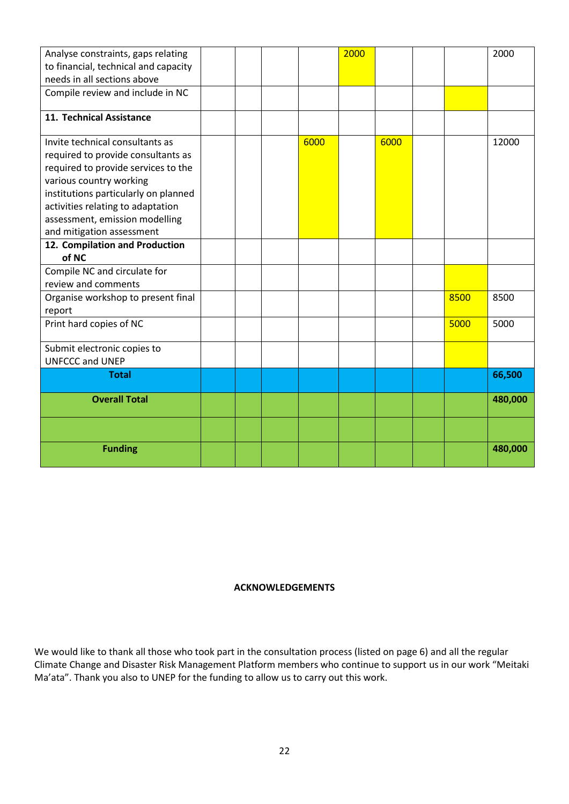| Analyse constraints, gaps relating   |  |      | 2000 |      |      | 2000    |
|--------------------------------------|--|------|------|------|------|---------|
| to financial, technical and capacity |  |      |      |      |      |         |
| needs in all sections above          |  |      |      |      |      |         |
| Compile review and include in NC     |  |      |      |      |      |         |
|                                      |  |      |      |      |      |         |
| 11. Technical Assistance             |  |      |      |      |      |         |
| Invite technical consultants as      |  | 6000 |      | 6000 |      | 12000   |
| required to provide consultants as   |  |      |      |      |      |         |
| required to provide services to the  |  |      |      |      |      |         |
| various country working              |  |      |      |      |      |         |
| institutions particularly on planned |  |      |      |      |      |         |
| activities relating to adaptation    |  |      |      |      |      |         |
| assessment, emission modelling       |  |      |      |      |      |         |
| and mitigation assessment            |  |      |      |      |      |         |
| 12. Compilation and Production       |  |      |      |      |      |         |
| of NC                                |  |      |      |      |      |         |
| Compile NC and circulate for         |  |      |      |      |      |         |
| review and comments                  |  |      |      |      |      |         |
| Organise workshop to present final   |  |      |      |      | 8500 | 8500    |
| report                               |  |      |      |      |      |         |
| Print hard copies of NC              |  |      |      |      | 5000 | 5000    |
|                                      |  |      |      |      |      |         |
| Submit electronic copies to          |  |      |      |      |      |         |
| <b>UNFCCC and UNEP</b>               |  |      |      |      |      |         |
| <b>Total</b>                         |  |      |      |      |      | 66,500  |
| <b>Overall Total</b>                 |  |      |      |      |      | 480,000 |
|                                      |  |      |      |      |      |         |
|                                      |  |      |      |      |      |         |
| <b>Funding</b>                       |  |      |      |      |      | 480,000 |
|                                      |  |      |      |      |      |         |

#### **ACKNOWLEDGEMENTS**

We would like to thank all those who took part in the consultation process (listed on page 6) and all the regular Climate Change and Disaster Risk Management Platform members who continue to support us in our work "Meitaki Ma'ata". Thank you also to UNEP for the funding to allow us to carry out this work.